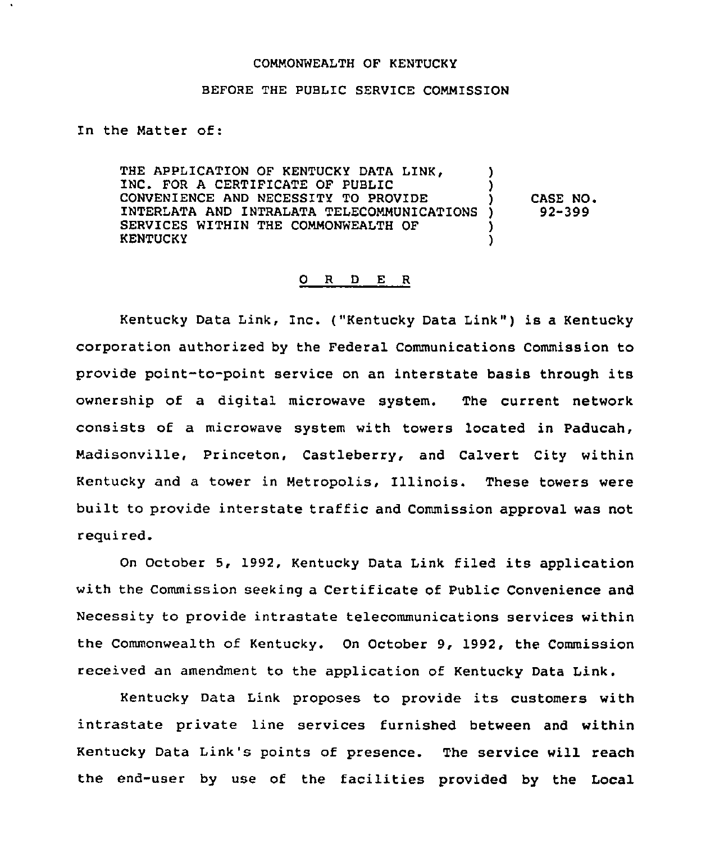## COMMONWEALTH OF KENTUCKY

## BEFORE THE PUBLIC SERVICE COMMISSION

In the Matter of:

THE APPLICATION OF KENTUCKY DATA LINK, INC. FOR A CERTIFICATE OF PUBLIC CONVENIENCE AND NECESSITY TO PROVIDE INTERLATA AND INTRALATA TELECOMMUNICATIONS SERVICES WITHIN THE COMMONWEALTH OF KENTUCKY ) !<br>. ) CASE NO <sup>~</sup> ) 92-399 ) )

## 0 R <sup>D</sup> E R

Kentucky Data Link, Inc. ("Kentucky Data Link" ) is <sup>a</sup> Kentucky corporation authorized by the Federal Communications Commission to provide point-to-point service on an interstate basis through its ownership of a digital microwave system. The current network consists of a microwave system with towers located in Paducah, Madisonville, Princeton, Castleberry, and Calvert City within Kentucky and a tower in Metropolis, Illinois. These towers were built to provide interstate traffic and Commission approval was not required.

On October 5, 1992, Kentucky Data Link filed its application with the Commission seeking a Certificate of Public Convenience and Necessity to provide intrastate telecommunications services within the Commonwealth of Kentucky. On October 9, 1992, the Commission received an amendment to the application of Kentucky Data Link.

Kentucky Data Link proposes to provide its customers with intrastate private line services furnished between and within Kentucky Data Link's points of presence. The service will reach the end-user by use of the facilities provided by the Local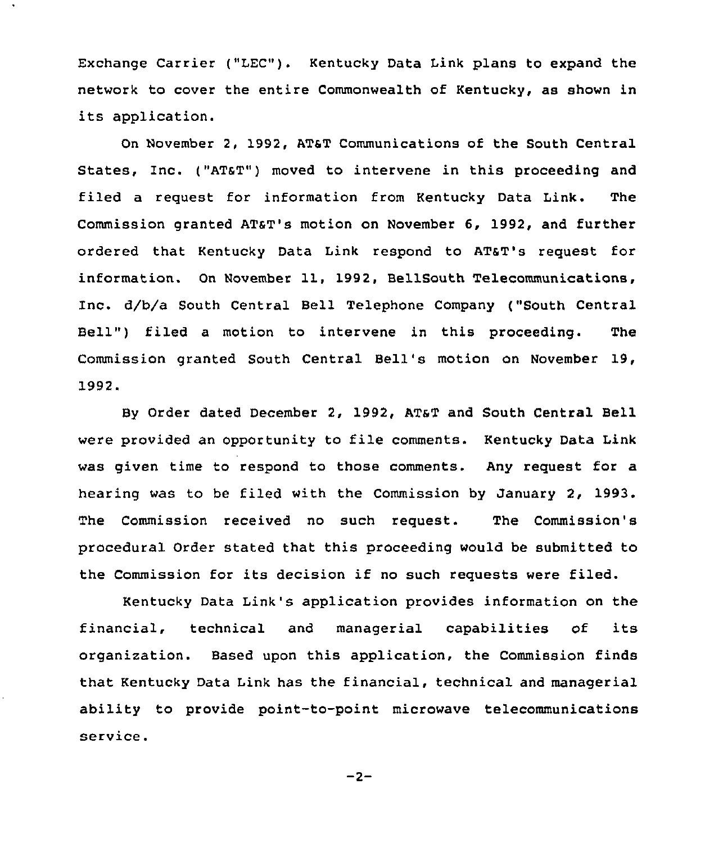Exchange Carrier ("LEC"). Kentucky Data Link plans to expand the network to cover the entire Commonwealth of Kentucky, as shown in its application.

On November 2, 1992, ATST Communications of the South Central States, Inc. ("AT&T") moved to intervene in this proceeding and filed a request for information from Kentucky Data Link. The commission granted ATaT's motion on November 6, 1992, and further ordered that Kentucky Data Link respond to ATsT's request for information. On November 11, 1992, BellSouth Telecommunications, Inc. d/b/a South Central Bell Telephone Company ("South Central Bell") filed a motion to intervene in this proceeding. The Commission granted South Central Bell's motion on November 19, 1992.

By Order dated December 2, 1992, ATsT and South Central Bell were provided an opportunity to file comments. Kentucky Data Link was given time to respond to those comments. Any request for a hearing was to be filed with the Commission by January 2, 1993. The Commission received no such request. The Commission'8 procedural Order stated that this proceeding would be submitted to the Commission for its decision if no such requests were filed.

Kentucky Data Link's application provides information on the financial, technical and managerial capabilities of its organization. Based upon this application, the Commission finds that Kentucky Data Link has the financial, technical and managerial ability to provide point-to-point microwave telecommunications service.

 $-2-$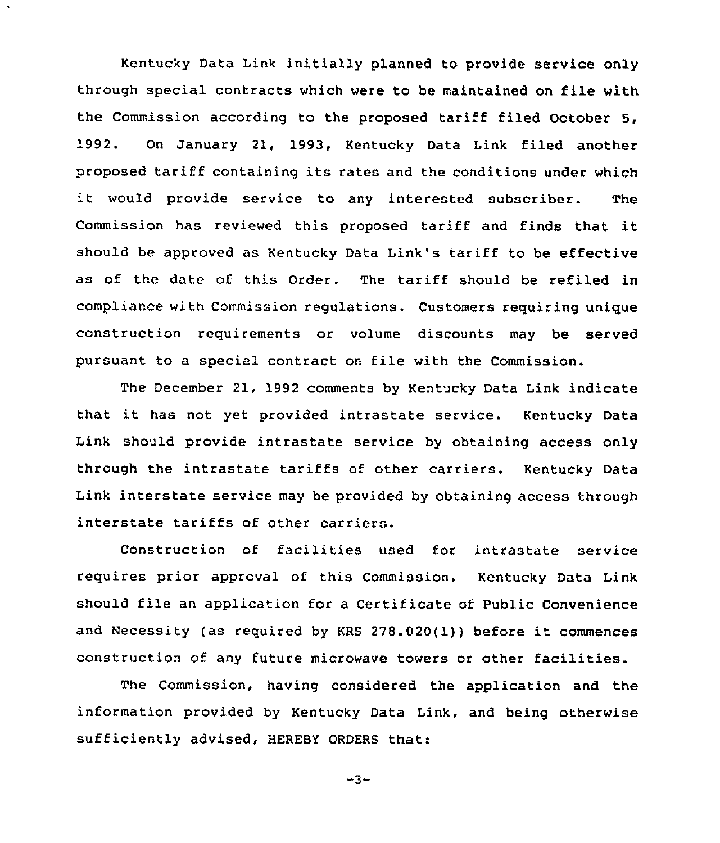Kentucky Data Link initially planned to provide service only through special contracts which were to be maintained on file with the Commission according to the proposed tariff filed October 5, 1992. On January 21, 1993, Kentucky Data Link filed another proposed tariff containing its rates and the conditions under which it would provide service to any interested subscriber. The Commission has reviewed this proposed tariff and finds that it should be approved as Kentucky Data Link's tariff to be effective as of the date of this Order. The tariff should be refiled in compliance with Commission regulations. Customers requiring unique construction requirements or volume discounts may be served pursuant to a special contract on file with the Commission.

The December 21, 1992 comments by Kentucky Data Link indicate that it has not yet provided intrastate service. Kentucky Data Link should provide intrastate service by obtaining access only through the intrastate tariffs of other carriers. Kentucky Data Link interstate service may be provided by obtaining access through interstate tariffs of other carriers.

Construction of facilities used for intrastate service requires prior approval of this Commission. Kentucky Data Link should file an application for a Certificate of Public Convenience and Necessity (as required by KRS 278.020(1)) before it commences construction of any future microwave towers or other facilities.

The Commission, having considered the application and the information provided by Kentucky Data Link, and being otherwise sufficiently advised, HEREBY ORDERS that:

$$
-3-
$$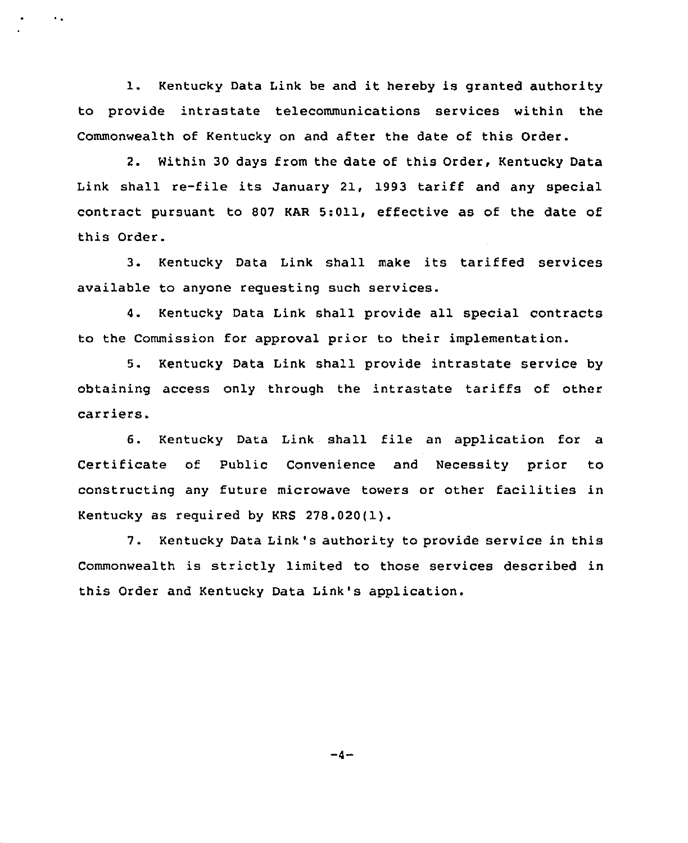1. Kentucky Data Link be and it hereby is granted authority to provide intrastate telecommunications services within the Commonwealth of Kentucky on and after the date of this Order.

 $\sim$  .

2. Within 30 days from the date of this Order, Kentucky Data Link shall re-file its January 21, 1993 tariff and any special contract pursuant to 807 KAR 5:011, effective as of the date of this Order.

3. Kentucky Data Link shall make its tariffed services available to anyone requesting such services.

4. Kentucky Data Link shall provide all special contracts to the Commission for approval prior to their implementation.

5. Kentucky Data Link shall provide intrastate service by obtaining access only through the intrastate tariffs of other carriers.

6. Kentucky Data Link shall file an application for a Certificate of Public Convenience and Necessity prior to constructing any future microwave towers or other facilities in Kentucky as required by KRS 278.020(1).

7. Kentucky Data Link's authority to provide service in this Commonwealth is strictly limited to those services described in this Order and Kentucky Data Link's application.

 $-4-$